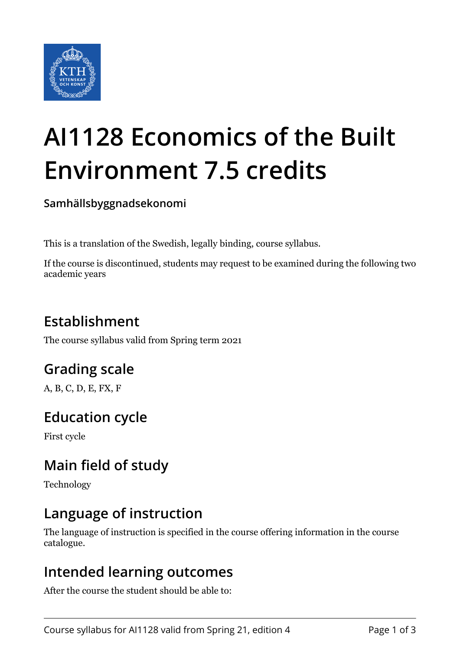

# **AI1128 Economics of the Built Environment 7.5 credits**

**Samhällsbyggnadsekonomi**

This is a translation of the Swedish, legally binding, course syllabus.

If the course is discontinued, students may request to be examined during the following two academic years

# **Establishment**

The course syllabus valid from Spring term 2021

# **Grading scale**

A, B, C, D, E, FX, F

## **Education cycle**

First cycle

# **Main field of study**

Technology

## **Language of instruction**

The language of instruction is specified in the course offering information in the course catalogue.

#### **Intended learning outcomes**

After the course the student should be able to: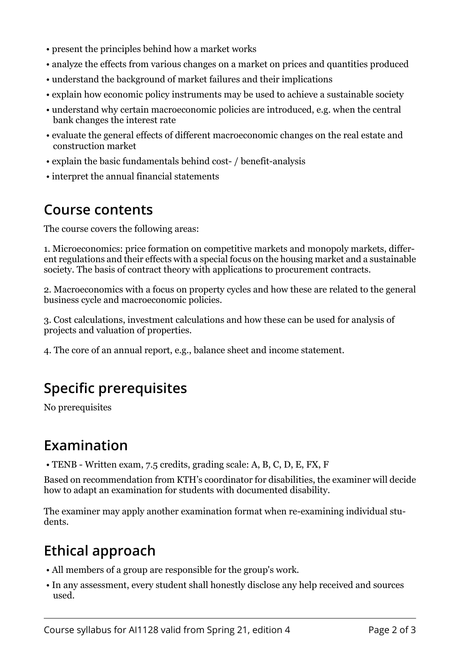- present the principles behind how a market works
- analyze the effects from various changes on a market on prices and quantities produced
- understand the background of market failures and their implications
- explain how economic policy instruments may be used to achieve a sustainable society
- understand why certain macroeconomic policies are introduced, e.g. when the central bank changes the interest rate
- evaluate the general effects of different macroeconomic changes on the real estate and construction market
- explain the basic fundamentals behind cost- / benefit-analysis
- interpret the annual financial statements

#### **Course contents**

The course covers the following areas:

1. Microeconomics: price formation on competitive markets and monopoly markets, different regulations and their effects with a special focus on the housing market and a sustainable society. The basis of contract theory with applications to procurement contracts.

2. Macroeconomics with a focus on property cycles and how these are related to the general business cycle and macroeconomic policies.

3. Cost calculations, investment calculations and how these can be used for analysis of projects and valuation of properties.

4. The core of an annual report, e.g., balance sheet and income statement.

# **Specific prerequisites**

No prerequisites

## **Examination**

• TENB - Written exam, 7.5 credits, grading scale: A, B, C, D, E, FX, F

Based on recommendation from KTH's coordinator for disabilities, the examiner will decide how to adapt an examination for students with documented disability.

The examiner may apply another examination format when re-examining individual students.

# **Ethical approach**

- All members of a group are responsible for the group's work.
- In any assessment, every student shall honestly disclose any help received and sources used.